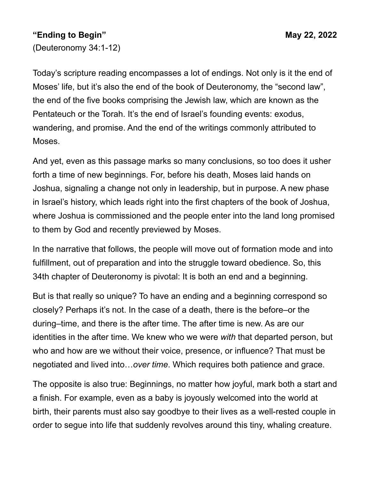## **"Ending to Begin" May 22, 2022**

(Deuteronomy 34:1-12)

Today's scripture reading encompasses a lot of endings. Not only is it the end of Moses' life, but it's also the end of the book of Deuteronomy, the "second law", the end of the five books comprising the Jewish law, which are known as the Pentateuch or the Torah. It's the end of Israel's founding events: exodus, wandering, and promise. And the end of the writings commonly attributed to Moses.

And yet, even as this passage marks so many conclusions, so too does it usher forth a time of new beginnings. For, before his death, Moses laid hands on Joshua, signaling a change not only in leadership, but in purpose. A new phase in Israel's history, which leads right into the first chapters of the book of Joshua, where Joshua is commissioned and the people enter into the land long promised to them by God and recently previewed by Moses.

In the narrative that follows, the people will move out of formation mode and into fulfillment, out of preparation and into the struggle toward obedience. So, this 34th chapter of Deuteronomy is pivotal: It is both an end and a beginning.

But is that really so unique? To have an ending and a beginning correspond so closely? Perhaps it's not. In the case of a death, there is the before–or the during–time, and there is the after time. The after time is new. As are our identities in the after time. We knew who we were *with* that departed person, but who and how are we without their voice, presence, or influence? That must be negotiated and lived into…*over time*. Which requires both patience and grace.

The opposite is also true: Beginnings, no matter how joyful, mark both a start and a finish. For example, even as a baby is joyously welcomed into the world at birth, their parents must also say goodbye to their lives as a well-rested couple in order to segue into life that suddenly revolves around this tiny, whaling creature.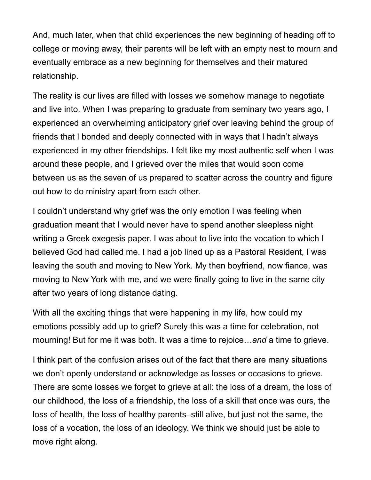And, much later, when that child experiences the new beginning of heading off to college or moving away, their parents will be left with an empty nest to mourn and eventually embrace as a new beginning for themselves and their matured relationship.

The reality is our lives are filled with losses we somehow manage to negotiate and live into. When I was preparing to graduate from seminary two years ago, I experienced an overwhelming anticipatory grief over leaving behind the group of friends that I bonded and deeply connected with in ways that I hadn't always experienced in my other friendships. I felt like my most authentic self when I was around these people, and I grieved over the miles that would soon come between us as the seven of us prepared to scatter across the country and figure out how to do ministry apart from each other.

I couldn't understand why grief was the only emotion I was feeling when graduation meant that I would never have to spend another sleepless night writing a Greek exegesis paper. I was about to live into the vocation to which I believed God had called me. I had a job lined up as a Pastoral Resident, I was leaving the south and moving to New York. My then boyfriend, now fiance, was moving to New York with me, and we were finally going to live in the same city after two years of long distance dating.

With all the exciting things that were happening in my life, how could my emotions possibly add up to grief? Surely this was a time for celebration, not mourning! But for me it was both. It was a time to rejoice…*and* a time to grieve.

I think part of the confusion arises out of the fact that there are many situations we don't openly understand or acknowledge as losses or occasions to grieve. There are some losses we forget to grieve at all: the loss of a dream, the loss of our childhood, the loss of a friendship, the loss of a skill that once was ours, the loss of health, the loss of healthy parents–still alive, but just not the same, the loss of a vocation, the loss of an ideology. We think we should just be able to move right along.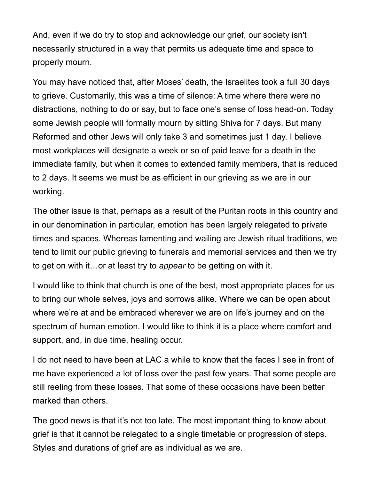And, even if we do try to stop and acknowledge our grief, our society isn't necessarily structured in a way that permits us adequate time and space to properly mourn.

You may have noticed that, after Moses' death, the Israelites took a full 30 days to grieve. Customarily, this was a time of silence: A time where there were no distractions, nothing to do or say, but to face one's sense of loss head-on. Today some Jewish people will formally mourn by sitting Shiva for 7 days. But many Reformed and other Jews will only take 3 and sometimes just 1 day. I believe most workplaces will designate a week or so of paid leave for a death in the immediate family, but when it comes to extended family members, that is reduced to 2 days. It seems we must be as efficient in our grieving as we are in our working.

The other issue is that, perhaps as a result of the Puritan roots in this country and in our denomination in particular, emotion has been largely relegated to private times and spaces. Whereas lamenting and wailing are Jewish ritual traditions, we tend to limit our public grieving to funerals and memorial services and then we try to get on with it…or at least try to *appear* to be getting on with it.

I would like to think that church is one of the best, most appropriate places for us to bring our whole selves, joys and sorrows alike. Where we can be open about where we're at and be embraced wherever we are on life's journey and on the spectrum of human emotion. I would like to think it is a place where comfort and support, and, in due time, healing occur.

I do not need to have been at LAC a while to know that the faces I see in front of me have experienced a lot of loss over the past few years. That some people are still reeling from these losses. That some of these occasions have been better marked than others.

The good news is that it's not too late. The most important thing to know about grief is that it cannot be relegated to a single timetable or progression of steps. Styles and durations of grief are as individual as we are.